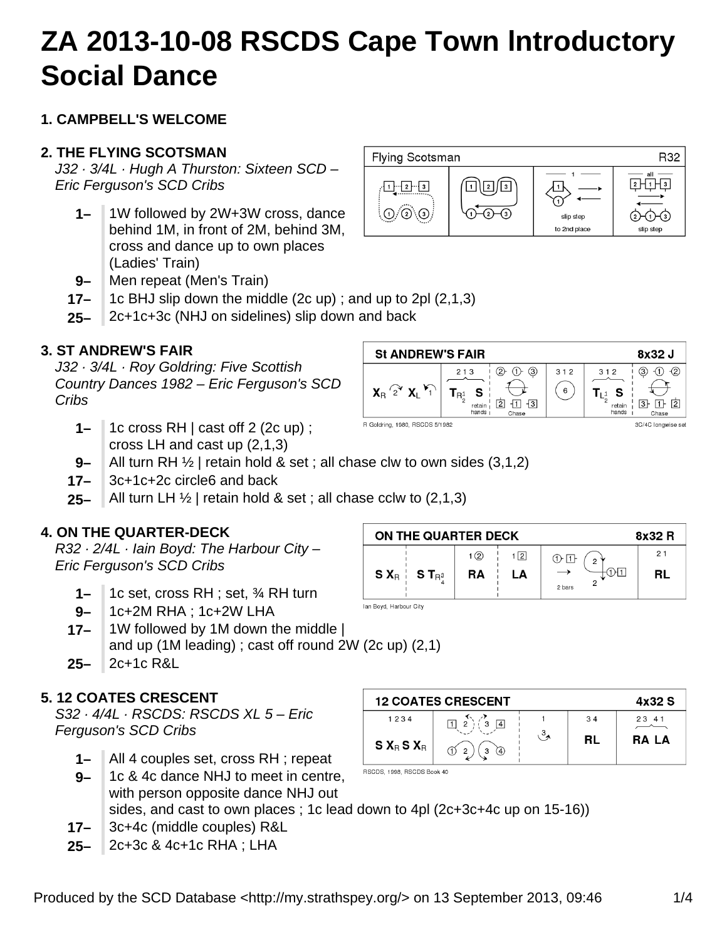# **ZA 2013-10-08 RSCDS Cape Town lntroductory Social Dance**

## **1. CAMPBELL'S WELCOME**

## **2. THE FLYING SCOTSMAN**

J32 · 3/4L · Hugh A Thurston: Sixteen SCD – Eric Ferguson's SCD Cribs

- **1–** 1W followed by 2W+3W cross, dance behind 1M, in front of 2M, behind 3M, cross and dance up to own places (Ladies' Train)
- **9–** Men repeat (Men's Train)
- **17–** 1c BHJ slip down the middle (2c up) ; and up to 2pl (2,1,3)
- **25–** 2c+1c+3c (NHJ on sidelines) slip down and back

## **3. ST ANDREW'S FAIR**

J32 · 3/4L · Roy Goldring: Five Scottish Country Dances 1982 – Eric Ferguson's SCD Cribs

- **1–** 1c cross RH | cast off 2 (2c up) ; cross LH and cast up (2,1,3)
- **9–** All turn RH  $\frac{1}{2}$  | retain hold & set ; all chase clw to own sides (3,1,2)
- **17–** 3c+1c+2c circle6 and back
- **25–** All turn LH ½ | retain hold & set ; all chase cclw to (2,1,3)

#### **4. ON THE QUARTER-DECK**

R32 · 2/4L · Iain Boyd: The Harbour City – Eric Ferguson's SCD Cribs

- **1–** 1c set, cross RH ; set, ¾ RH turn
- **9–** 1c+2M RHA ; 1c+2W LHA
- **17–** 1W followed by 1M down the middle | and up (1M leading) ; cast off round 2W (2c up) (2,1)
- **25–** 2c+1c R&L

## **5. 12 COATES CRESCENT**

S32 · 4/4L · RSCDS: RSCDS XL 5 – Eric Ferguson's SCD Cribs

- **1–** All 4 couples set, cross RH ; repeat
- **9–** 1c & 4c dance NHJ to meet in centre, with person opposite dance NHJ out sides, and cast to own places ; 1c lead down to 4pl (2c+3c+4c up on 15-16))
- **17–** 3c+4c (middle couples) R&L
- **25–** 2c+3c & 4c+1c RHA ; LHA

| ON THE QUARTER DECK<br>8x32 R |                     |           |     |                                 |    |  |
|-------------------------------|---------------------|-----------|-----|---------------------------------|----|--|
|                               |                     | 1(2)      | 1 2 | $\overline{O}$<br>$\mathcal{L}$ | 21 |  |
|                               | $S X_R$ $S T_{R^3}$ | <b>RA</b> | LA  | 1H 1<br>2 bars                  | RL |  |
| Ian Boyd, Harbour City        |                     |           |     |                                 |    |  |

| <b>12 COATES CRESCENT</b> | 4x32 S  |    |       |
|---------------------------|---------|----|-------|
| 1234                      |         | 34 | 23 41 |
| $S X_R S X_R$             | A)<br>c | RL | RA LA |

RSCDS, 1998, RSCDS Book 40



 $(2)$   $(1)$   $(3)$ 

 $\leftrightarrow$ 

 $reta$   $|2$   $1$   $3$ 

312

 $(6)$ 

312



 $X_B$   $2^{\circ}$   $X_L$   $Y_L$ 

**St ANDREW'S FAIR** 

213

 $T_{R_2^1}$  S



8x32 J  $(3)$  (1) (2)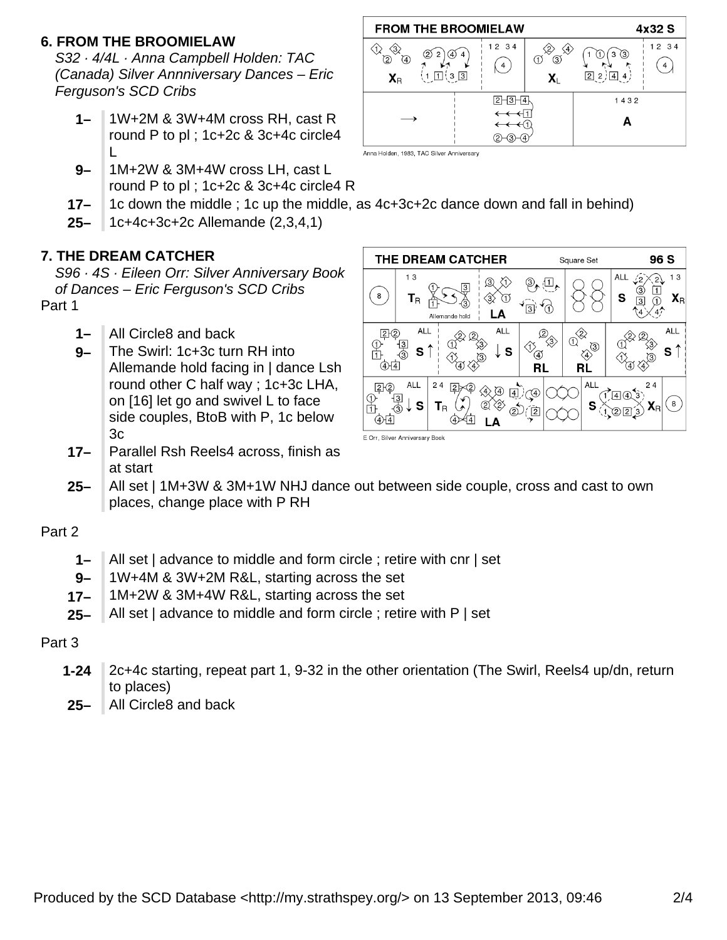## **6. FROM THE BROOMIELAW**

S32 · 4/4L · Anna Campbell Holden: TAC (Canada) Silver Annniversary Dances – Eric Ferguson's SCD Cribs

- **1–** 1W+2M & 3W+4M cross RH, cast R round P to pl ; 1c+2c & 3c+4c circle4 L
- **9–** 1M+2W & 3M+4W cross LH, cast L round P to pl ; 1c+2c & 3c+4c circle4 R



Anna Holden, 1983, TAC Silver Anniversary

- **17–** 1c down the middle ; 1c up the middle, as 4c+3c+2c dance down and fall in behind)
- **25–** 1c+4c+3c+2c Allemande (2,3,4,1)

### **7. THE DREAM CATCHER**

S96 · 4S · Eileen Orr: Silver Anniversary Book of Dances – Eric Ferguson's SCD Cribs Part 1

- **1–** All Circle8 and back
- **9–** The Swirl: 1c+3c turn RH into Allemande hold facing in | dance Lsh round other C half way ; 1c+3c LHA, on [16] let go and swivel L to face side couples, BtoB with P, 1c below 3c
- **17–** Parallel Rsh Reels4 across, finish as at start



- 
- **25–** All set | 1M+3W & 3M+1W NHJ dance out between side couple, cross and cast to own places, change place with P RH

#### Part 2

- **1–** All set | advance to middle and form circle ; retire with cnr | set
- **9–** 1W+4M & 3W+2M R&L, starting across the set
- **17–** 1M+2W & 3M+4W R&L, starting across the set
- **25–** All set | advance to middle and form circle ; retire with P | set

#### Part 3

- **1-24** 2c+4c starting, repeat part 1, 9-32 in the other orientation (The Swirl, Reels4 up/dn, return to places)
- **25–** All Circle8 and back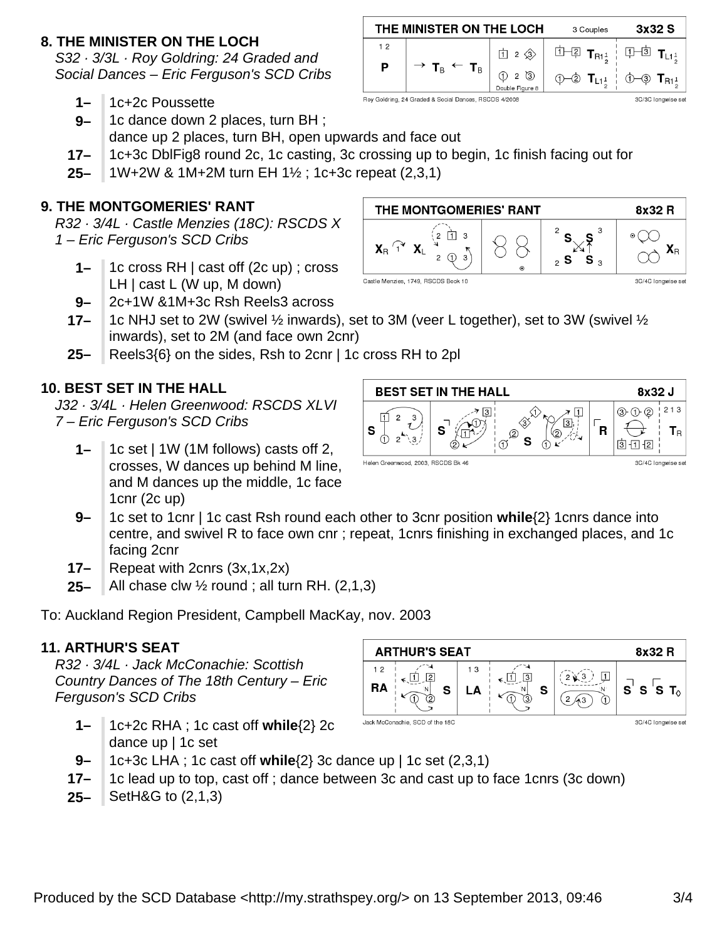## **8. THE MINISTER ON THE LOCH**

S32 · 3/3L · Roy Goldring: 24 Graded and Social Dances – Eric Ferguson's SCD Cribs

- **1–** 1c+2c Poussette
- **9–** 1c dance down 2 places, turn BH ; dance up 2 places, turn BH, open upwards and face out
- **17–** 1c+3c DblFig8 round 2c, 1c casting, 3c crossing up to begin, 1c finish facing out for
- **25–** 1W+2W & 1M+2M turn EH 1½ ; 1c+3c repeat (2,3,1)

## **9. THE MONTGOMERIES' RANT**

R32 · 3/4L · Castle Menzies (18C): RSCDS X 1 – Eric Ferguson's SCD Cribs

- **1–** 1c cross RH | cast off (2c up) ; cross LH | cast L (W up, M down)
- **9–** 2c+1W &1M+3c Rsh Reels3 across
- **17–** 1c NHJ set to 2W (swivel ½ inwards), set to 3M (veer L together), set to 3W (swivel ½ inwards), set to 2M (and face own 2cnr)
- **25–** Reels3{6} on the sides, Rsh to 2cnr | 1c cross RH to 2pl

## **10. BEST SET IN THE HALL**

J32 · 3/4L · Helen Greenwood: RSCDS XLVI 7 – Eric Ferguson's SCD Cribs

- **1–** 1c set | 1W (1M follows) casts off 2, crosses, W dances up behind M line, and M dances up the middle, 1c face 1cnr (2c up)
- **9–** 1c set to 1cnr | 1c cast Rsh round each other to 3cnr position **while**{2} 1cnrs dance into centre, and swivel R to face own cnr ; repeat, 1cnrs finishing in exchanged places, and 1c facing 2cnr

⊓

Helen Greenwood, 2003, RSCDS Bk 46

S

- **17–** Repeat with 2cnrs (3x,1x,2x)
- **25–** All chase clw  $\frac{1}{2}$  round; all turn RH. (2,1,3)

To: Auckland Region President, Campbell MacKay, nov. 2003

## **11. ARTHUR'S SEAT**

R32 · 3/4L · Jack McConachie: Scottish Country Dances of The 18th Century – Eric Ferguson's SCD Cribs

- **1–** 1c+2c RHA ; 1c cast off **while**{2} 2c dance up | 1c set
- **9–** 1c+3c LHA ; 1c cast off **while**{2} 3c dance up | 1c set (2,3,1)
- **17–** 1c lead up to top, cast off ; dance between 3c and cast up to face 1cnrs (3c down)
- **25–** SetH&G to (2,1,3)





⇘

⊗∕

s

 $\sigma$ 

7 ⊡

 $\overline{\mathbf{R}}$ 

③







Roy Goldring, 24 Graded & Social Dances, RSCDS 4/2008

**BEST SET IN THE HALL** 

 $\overline{7}$  3

8x32 J

3C/4C longwise set

 $③$  ① ②

 $3 - 12$ 

213

 $\mathsf{T}_\mathsf{R}$